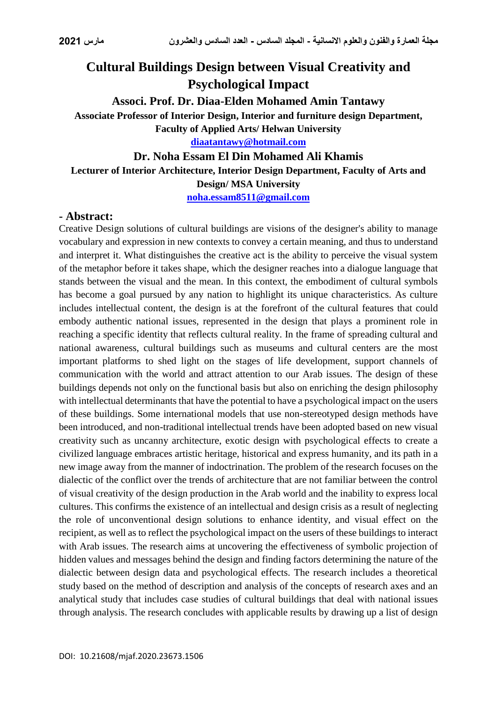## **Cultural Buildings Design between Visual Creativity and Psychological Impact**

**Associ. Prof. Dr. Diaa-Elden Mohamed Amin Tantawy Associate Professor of Interior Design, Interior and furniture design Department, Faculty of Applied Arts/ Helwan University**

**[diaatantawy@hotmail.com](mailto:diaatantawy@hotmail.com)**

## **Dr. Noha Essam El Din Mohamed Ali Khamis Lecturer of Interior Architecture, Interior Design Department, Faculty of Arts and Design/ MSA University**

**[noha.essam8511@gmail.com](mailto:noha.essam8511@gmail.com)**

## **- Abstract:**

Creative Design solutions of cultural buildings are visions of the designer's ability to manage vocabulary and expression in new contexts to convey a certain meaning, and thus to understand and interpret it. What distinguishes the creative act is the ability to perceive the visual system of the metaphor before it takes shape, which the designer reaches into a dialogue language that stands between the visual and the mean. In this context, the embodiment of cultural symbols has become a goal pursued by any nation to highlight its unique characteristics. As culture includes intellectual content, the design is at the forefront of the cultural features that could embody authentic national issues, represented in the design that plays a prominent role in reaching a specific identity that reflects cultural reality. In the frame of spreading cultural and national awareness, cultural buildings such as museums and cultural centers are the most important platforms to shed light on the stages of life development, support channels of communication with the world and attract attention to our Arab issues. The design of these buildings depends not only on the functional basis but also on enriching the design philosophy with intellectual determinants that have the potential to have a psychological impact on the users of these buildings. Some international models that use non-stereotyped design methods have been introduced, and non-traditional intellectual trends have been adopted based on new visual creativity such as uncanny architecture, exotic design with psychological effects to create a civilized language embraces artistic heritage, historical and express humanity, and its path in a new image away from the manner of indoctrination. The problem of the research focuses on the dialectic of the conflict over the trends of architecture that are not familiar between the control of visual creativity of the design production in the Arab world and the inability to express local cultures. This confirms the existence of an intellectual and design crisis as a result of neglecting the role of unconventional design solutions to enhance identity, and visual effect on the recipient, as well as to reflect the psychological impact on the users of these buildings to interact with Arab issues. The research aims at uncovering the effectiveness of symbolic projection of hidden values and messages behind the design and finding factors determining the nature of the dialectic between design data and psychological effects. The research includes a theoretical study based on the method of description and analysis of the concepts of research axes and an analytical study that includes case studies of cultural buildings that deal with national issues through analysis. The research concludes with applicable results by drawing up a list of design